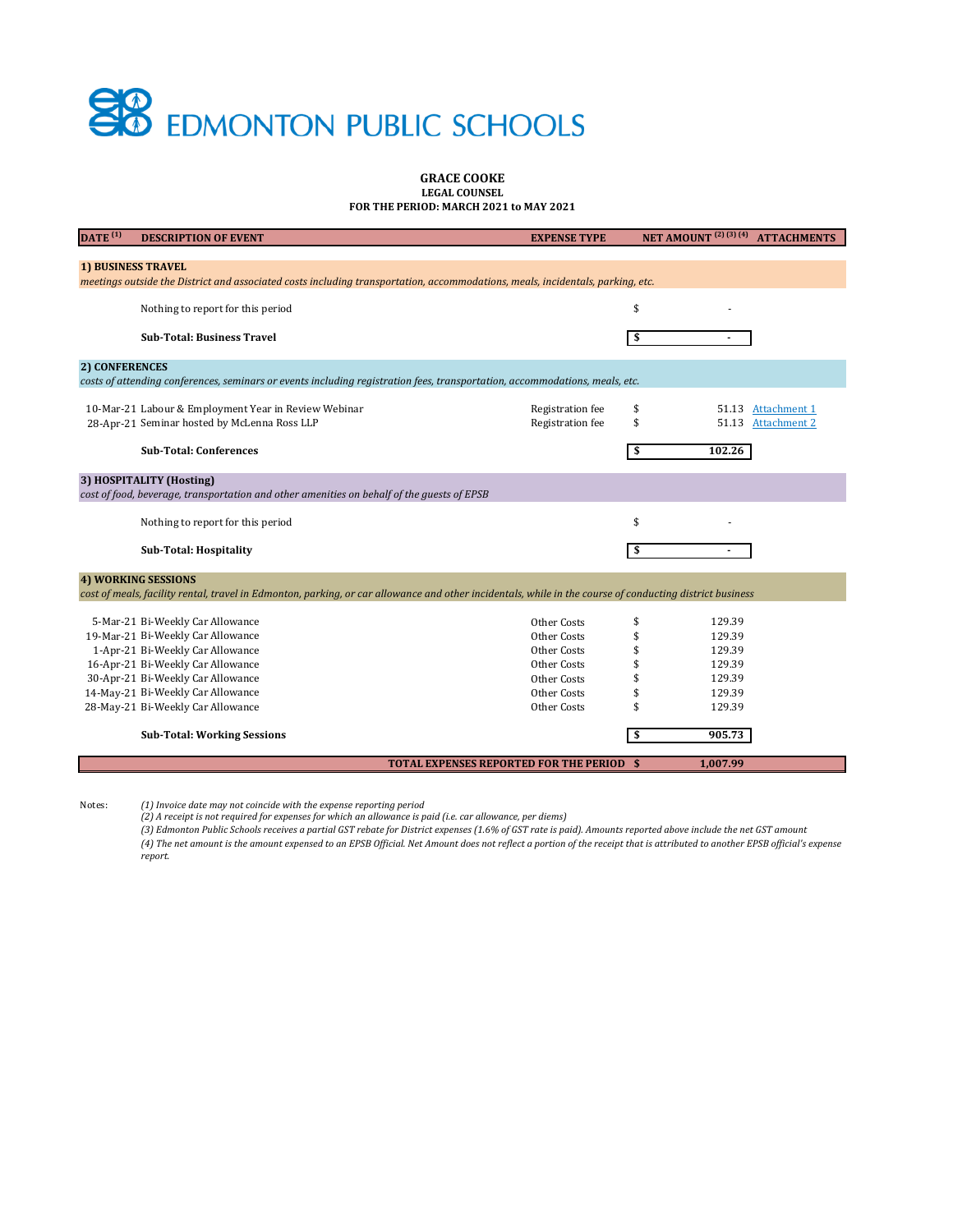Notes: *(1) Invoice date may not coincide with the expense reporting period*

*(2) A receipt is not required for expenses for which an allowance is paid (i.e. car allowance, per diems)*

| $\overline{DATE}^{(1)}$                                                                                                                                     | <b>DESCRIPTION OF EVENT</b>                                                                                                                              | <b>EXPENSE TYPE</b>                              | <b>NET AMOUNT</b> <sup>(2)</sup> (3) (4)<br><b>ATTACHMENTS</b>          |  |  |
|-------------------------------------------------------------------------------------------------------------------------------------------------------------|----------------------------------------------------------------------------------------------------------------------------------------------------------|--------------------------------------------------|-------------------------------------------------------------------------|--|--|
|                                                                                                                                                             |                                                                                                                                                          |                                                  |                                                                         |  |  |
| <b>1) BUSINESS TRAVEL</b><br>meetings outside the District and associated costs including transportation, accommodations, meals, incidentals, parking, etc. |                                                                                                                                                          |                                                  |                                                                         |  |  |
|                                                                                                                                                             |                                                                                                                                                          |                                                  |                                                                         |  |  |
|                                                                                                                                                             | Nothing to report for this period                                                                                                                        |                                                  | \$                                                                      |  |  |
|                                                                                                                                                             | <b>Sub-Total: Business Travel</b>                                                                                                                        |                                                  | \$                                                                      |  |  |
| 2) CONFERENCES                                                                                                                                              |                                                                                                                                                          |                                                  |                                                                         |  |  |
|                                                                                                                                                             | costs of attending conferences, seminars or events including registration fees, transportation, accommodations, meals, etc.                              |                                                  |                                                                         |  |  |
|                                                                                                                                                             | 10-Mar-21 Labour & Employment Year in Review Webinar<br>28-Apr-21 Seminar hosted by McLenna Ross LLP                                                     | <b>Registration fee</b><br>Registration fee      | <b>Attachment 1</b><br>51.13<br>2<br>\$<br>51.13<br><b>Attachment 2</b> |  |  |
|                                                                                                                                                             | <b>Sub-Total: Conferences</b>                                                                                                                            |                                                  | 102.26<br>\$                                                            |  |  |
|                                                                                                                                                             | 3) HOSPITALITY (Hosting)                                                                                                                                 |                                                  |                                                                         |  |  |
|                                                                                                                                                             | cost of food, beverage, transportation and other amenities on behalf of the guests of EPSB                                                               |                                                  |                                                                         |  |  |
|                                                                                                                                                             | Nothing to report for this period                                                                                                                        |                                                  | \$                                                                      |  |  |
|                                                                                                                                                             | <b>Sub-Total: Hospitality</b>                                                                                                                            |                                                  | S                                                                       |  |  |
| <b>4) WORKING SESSIONS</b>                                                                                                                                  |                                                                                                                                                          |                                                  |                                                                         |  |  |
|                                                                                                                                                             | cost of meals, facility rental, travel in Edmonton, parking, or car allowance and other incidentals, while in the course of conducting district business |                                                  |                                                                         |  |  |
|                                                                                                                                                             | 5-Mar-21 Bi-Weekly Car Allowance                                                                                                                         | Other Costs                                      | 129.39                                                                  |  |  |
|                                                                                                                                                             | 19-Mar-21 Bi-Weekly Car Allowance                                                                                                                        | Other Costs                                      | 129.39                                                                  |  |  |
|                                                                                                                                                             | 1-Apr-21 Bi-Weekly Car Allowance                                                                                                                         | Other Costs                                      | 129.39                                                                  |  |  |
|                                                                                                                                                             | 16-Apr-21 Bi-Weekly Car Allowance                                                                                                                        | Other Costs                                      | 129.39                                                                  |  |  |
|                                                                                                                                                             | 30-Apr-21 Bi-Weekly Car Allowance                                                                                                                        | Other Costs                                      | 129.39                                                                  |  |  |
|                                                                                                                                                             | 14-May-21 Bi-Weekly Car Allowance                                                                                                                        | <b>Other Costs</b>                               | 129.39                                                                  |  |  |
|                                                                                                                                                             | 28-May-21 Bi-Weekly Car Allowance                                                                                                                        | Other Costs                                      | 129.39                                                                  |  |  |
|                                                                                                                                                             | <b>Sub-Total: Working Sessions</b>                                                                                                                       |                                                  | 905.73<br>\$                                                            |  |  |
|                                                                                                                                                             |                                                                                                                                                          | <b>TOTAL EXPENSES REPORTED FOR THE PERIOD \$</b> | 1,007.99                                                                |  |  |

*(3) Edmonton Public Schools receives a partial GST rebate for District expenses (1.6% of GST rate is paid). Amounts reported above include the net GST amount (4) The net amount is the amount expensed to an EPSB Official. Net Amount does not reflect a portion of the receipt that is attributed to another EPSB official's expense report.* 



### **GRACE COOKE LEGAL COUNSEL FOR THE PERIOD: MARCH 2021 to MAY 2021**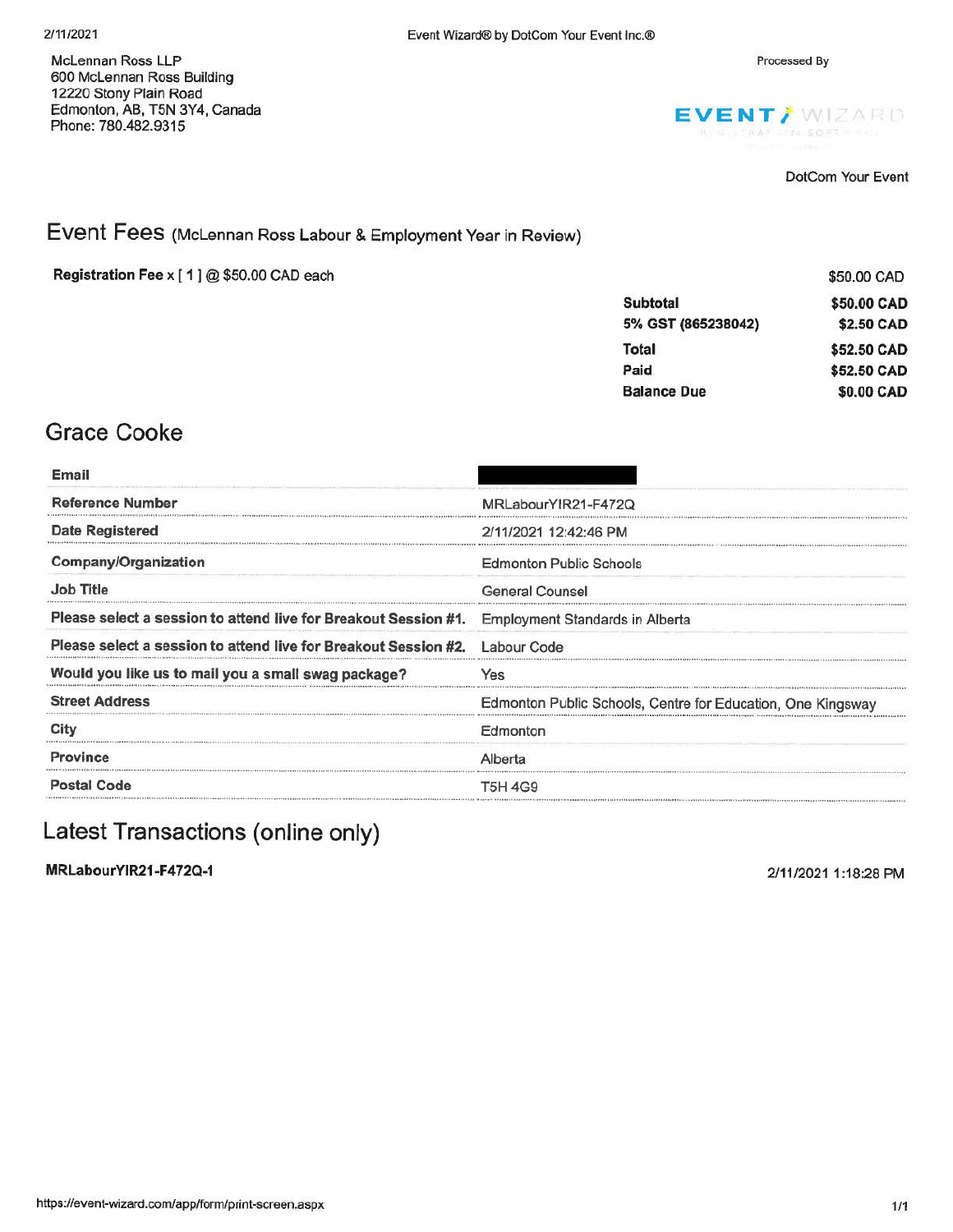Processed By

McLennan Ross LLP 600 McLennan Ross Building 12220 Stony Plain Road Edmonton, AB, T5N 3Y4, Canada Phone: 780.482.9315



DotCom Your Event

## Event Fees (McLennan Ross Labour & Employment Year in Review)

Registration Fee x [1] @ \$50.00 CAD each

|                    | \$50.00 CAD |
|--------------------|-------------|
| <b>Subtotal</b>    | \$50,00 CAD |
| 5% GST (865238042) | \$2.50 CAD  |
| Total              | \$52.50 CAD |
| Paid               | \$52.50 CAD |
| <b>Balance Due</b> | \$0.00 CAD  |

## **Grace Cooke**

| MRLabourYIR21-F472Q                                                                                       |
|-----------------------------------------------------------------------------------------------------------|
| 2/11/2021 12:42:46 PM                                                                                     |
| <b>Edmonton Public Schools</b>                                                                            |
| General Counsel                                                                                           |
| Please select a session to attend live for Breakout Session #1.<br><b>Employment Standards in Alberta</b> |
| Please select a session to attend live for Breakout Session #2.<br>Labour Code                            |
| Yes                                                                                                       |
| Edmonton Public Schools, Centre for Education, One Kingsway                                               |
| Edmonton                                                                                                  |
| Alberta                                                                                                   |
| T5H 4G9                                                                                                   |
|                                                                                                           |

## Latest Transactions (online only)

MRLabourYIR21-F472Q-1

2/11/2021 1:18:28 PM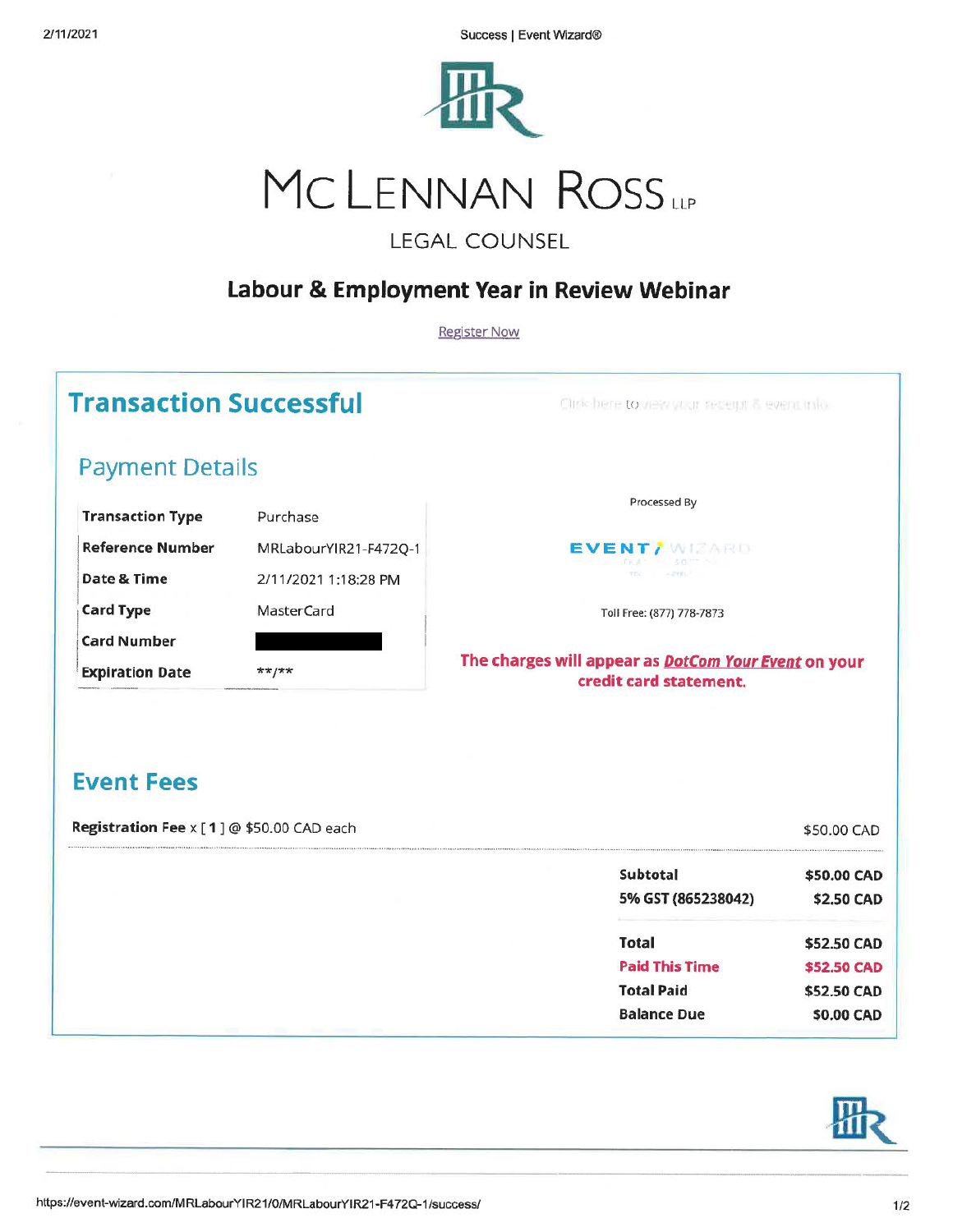Success | Event Wizard®



# MCLENNAN ROSS

## **LEGAL COUNSEL**

## Labour & Employment Year in Review Webinar

**Register Now** 

## **Transaction Successful**

Clink here to new your securit & event into

## **Payment Details**

| <b>Transaction Type</b> | Purchase              |
|-------------------------|-----------------------|
| <b>Reference Number</b> | MRLabourYIR21-F472Q-1 |
| Date & Time             | 2/11/2021 1:18:28 PM  |
| <b>Card Type</b>        | MasterCard            |
| <b>Card Number</b>      |                       |
| <b>Expiration Date</b>  | **/**                 |

Processed By



Toll Free: (877) 778-7873

#### The charges will appear as **DotCom Your Event** on your credit card statement.

## **Event Fees**

Registration Fee x [1] @ \$50.00 CAD each \$50.00 CAD Subtotal \$50.00 CAD 5% GST (865238042) \$2.50 CAD

| <b>Total</b>          | \$52.50 CAD |
|-----------------------|-------------|
| <b>Paid This Time</b> | \$52.50 CAD |
| <b>Total Paid</b>     | \$52.50 CAD |
| <b>Balance Due</b>    | \$0.00 CAD  |
|                       |             |